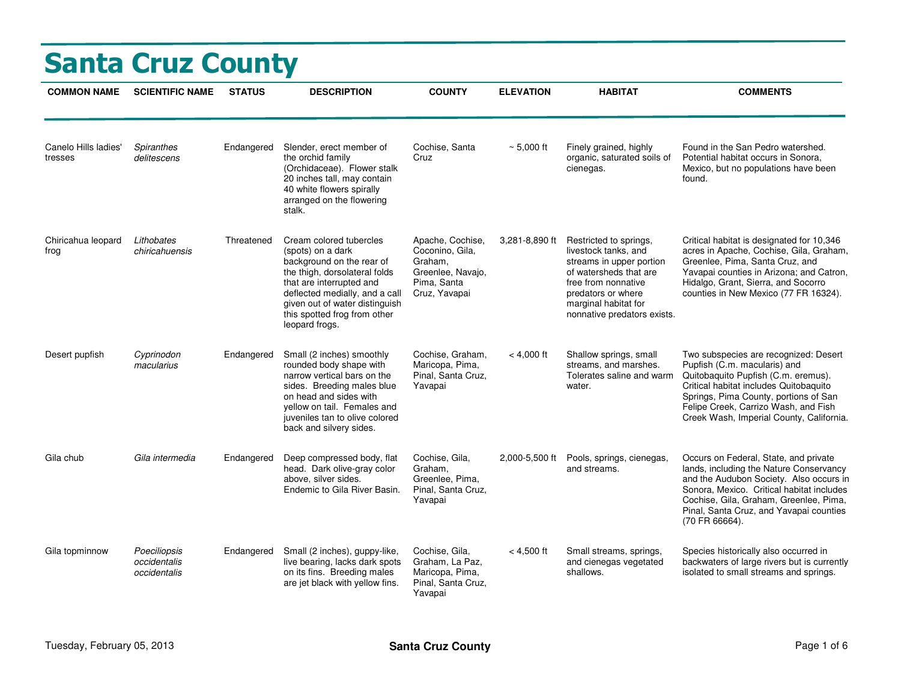|                                 | <b>Santa Cruz County</b>                     |               |                                                                                                                                                                                                                                                              |                                                                                                     |                  |                                                                                                                                                                                                          |                                                                                                                                                                                                                                                                                     |
|---------------------------------|----------------------------------------------|---------------|--------------------------------------------------------------------------------------------------------------------------------------------------------------------------------------------------------------------------------------------------------------|-----------------------------------------------------------------------------------------------------|------------------|----------------------------------------------------------------------------------------------------------------------------------------------------------------------------------------------------------|-------------------------------------------------------------------------------------------------------------------------------------------------------------------------------------------------------------------------------------------------------------------------------------|
| <b>COMMON NAME</b>              | <b>SCIENTIFIC NAME</b>                       | <b>STATUS</b> | <b>DESCRIPTION</b>                                                                                                                                                                                                                                           | <b>COUNTY</b>                                                                                       | <b>ELEVATION</b> | <b>HABITAT</b>                                                                                                                                                                                           | <b>COMMENTS</b>                                                                                                                                                                                                                                                                     |
| Canelo Hills ladies'<br>tresses | Spiranthes<br>delitescens                    | Endangered    | Slender, erect member of<br>the orchid family<br>(Orchidaceae). Flower stalk<br>20 inches tall, may contain<br>40 white flowers spirally<br>arranged on the flowering<br>stalk.                                                                              | Cochise, Santa<br>Cruz                                                                              | $~\sim 5,000$ ft | Finely grained, highly<br>organic, saturated soils of<br>cienegas.                                                                                                                                       | Found in the San Pedro watershed.<br>Potential habitat occurs in Sonora,<br>Mexico, but no populations have been<br>found.                                                                                                                                                          |
| Chiricahua leopard<br>frog      | Lithobates<br>chiricahuensis                 | Threatened    | Cream colored tubercles<br>(spots) on a dark<br>background on the rear of<br>the thigh, dorsolateral folds<br>that are interrupted and<br>deflected medially, and a call<br>given out of water distinguish<br>this spotted frog from other<br>leopard frogs. | Apache, Cochise,<br>Coconino, Gila,<br>Graham,<br>Greenlee, Navajo,<br>Pima, Santa<br>Cruz, Yavapai | 3,281-8,890 ft   | Restricted to springs,<br>livestock tanks, and<br>streams in upper portion<br>of watersheds that are<br>free from nonnative<br>predators or where<br>marginal habitat for<br>nonnative predators exists. | Critical habitat is designated for 10,346<br>acres in Apache, Cochise, Gila, Graham,<br>Greenlee, Pima, Santa Cruz, and<br>Yavapai counties in Arizona; and Catron,<br>Hidalgo, Grant, Sierra, and Socorro<br>counties in New Mexico (77 FR 16324).                                 |
| Desert pupfish                  | Cyprinodon<br>macularius                     | Endangered    | Small (2 inches) smoothly<br>rounded body shape with<br>narrow vertical bars on the<br>sides. Breeding males blue<br>on head and sides with<br>yellow on tail. Females and<br>juveniles tan to olive colored<br>back and silvery sides.                      | Cochise, Graham,<br>Maricopa, Pima,<br>Pinal, Santa Cruz,<br>Yavapai                                | $< 4,000$ ft     | Shallow springs, small<br>streams, and marshes.<br>Tolerates saline and warm<br>water.                                                                                                                   | Two subspecies are recognized: Desert<br>Pupfish (C.m. macularis) and<br>Quitobaquito Pupfish (C.m. eremus).<br>Critical habitat includes Quitobaquito<br>Springs, Pima County, portions of San<br>Felipe Creek, Carrizo Wash, and Fish<br>Creek Wash, Imperial County, California. |
| Gila chub                       | Gila intermedia                              | Endangered    | Deep compressed body, flat<br>head. Dark olive-gray color<br>above, silver sides.<br>Endemic to Gila River Basin.                                                                                                                                            | Cochise, Gila,<br>Graham,<br>Greenlee, Pima,<br>Pinal, Santa Cruz,<br>Yavapai                       | 2,000-5,500 ft   | Pools, springs, cienegas,<br>and streams.                                                                                                                                                                | Occurs on Federal, State, and private<br>lands, including the Nature Conservancy<br>and the Audubon Society. Also occurs in<br>Sonora, Mexico. Critical habitat includes<br>Cochise, Gila, Graham, Greenlee, Pima,<br>Pinal, Santa Cruz, and Yavapai counties<br>(70 FR 66664).     |
| Gila topminnow                  | Poeciliopsis<br>occidentalis<br>occidentalis | Endangered    | Small (2 inches), guppy-like,<br>live bearing, lacks dark spots<br>on its fins. Breeding males<br>are jet black with yellow fins.                                                                                                                            | Cochise, Gila,<br>Graham, La Paz,<br>Maricopa, Pima,<br>Pinal, Santa Cruz,<br>Yavapai               | $< 4,500$ ft     | Small streams, springs,<br>and cienegas vegetated<br>shallows.                                                                                                                                           | Species historically also occurred in<br>backwaters of large rivers but is currently<br>isolated to small streams and springs.                                                                                                                                                      |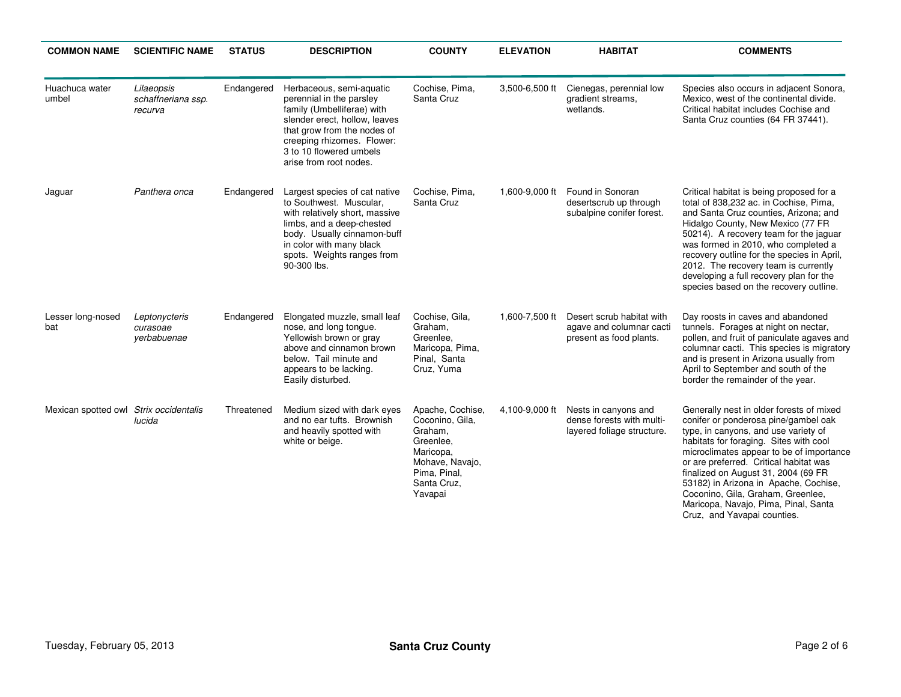| <b>COMMON NAME</b>                     | <b>SCIENTIFIC NAME</b>                      | <b>STATUS</b> | <b>DESCRIPTION</b>                                                                                                                                                                                                                    | <b>COUNTY</b>                                                                                                                         | <b>ELEVATION</b> | <b>HABITAT</b>                                                                   | <b>COMMENTS</b>                                                                                                                                                                                                                                                                                                                                                                                                                                      |
|----------------------------------------|---------------------------------------------|---------------|---------------------------------------------------------------------------------------------------------------------------------------------------------------------------------------------------------------------------------------|---------------------------------------------------------------------------------------------------------------------------------------|------------------|----------------------------------------------------------------------------------|------------------------------------------------------------------------------------------------------------------------------------------------------------------------------------------------------------------------------------------------------------------------------------------------------------------------------------------------------------------------------------------------------------------------------------------------------|
| Huachuca water<br>umbel                | Lilaeopsis<br>schaffneriana ssp.<br>recurva | Endangered    | Herbaceous, semi-aquatic<br>perennial in the parsley<br>family (Umbelliferae) with<br>slender erect, hollow, leaves<br>that grow from the nodes of<br>creeping rhizomes. Flower:<br>3 to 10 flowered umbels<br>arise from root nodes. | Cochise, Pima,<br>Santa Cruz                                                                                                          | 3,500-6,500 ft   | Cienegas, perennial low<br>gradient streams,<br>wetlands.                        | Species also occurs in adjacent Sonora,<br>Mexico, west of the continental divide.<br>Critical habitat includes Cochise and<br>Santa Cruz counties (64 FR 37441).                                                                                                                                                                                                                                                                                    |
| Jaguar                                 | Panthera onca                               | Endangered    | Largest species of cat native<br>to Southwest. Muscular,<br>with relatively short, massive<br>limbs, and a deep-chested<br>body. Usually cinnamon-buff<br>in color with many black<br>spots. Weights ranges from<br>90-300 lbs.       | Cochise, Pima,<br>Santa Cruz                                                                                                          | 1,600-9,000 ft   | Found in Sonoran<br>desertscrub up through<br>subalpine conifer forest.          | Critical habitat is being proposed for a<br>total of 838,232 ac. in Cochise, Pima,<br>and Santa Cruz counties, Arizona; and<br>Hidalgo County, New Mexico (77 FR<br>50214). A recovery team for the jaguar<br>was formed in 2010, who completed a<br>recovery outline for the species in April,<br>2012. The recovery team is currently<br>developing a full recovery plan for the<br>species based on the recovery outline.                         |
| Lesser long-nosed<br>bat               | Leptonycteris<br>curasoae<br>yerbabuenae    | Endangered    | Elongated muzzle, small leaf<br>nose, and long tongue.<br>Yellowish brown or gray<br>above and cinnamon brown<br>below. Tail minute and<br>appears to be lacking.<br>Easily disturbed.                                                | Cochise, Gila,<br>Graham,<br>Greenlee,<br>Maricopa, Pima,<br>Pinal, Santa<br>Cruz, Yuma                                               | 1,600-7,500 ft   | Desert scrub habitat with<br>agave and columnar cacti<br>present as food plants. | Day roosts in caves and abandoned<br>tunnels. Forages at night on nectar,<br>pollen, and fruit of paniculate agaves and<br>columnar cacti. This species is migratory<br>and is present in Arizona usually from<br>April to September and south of the<br>border the remainder of the year.                                                                                                                                                           |
| Mexican spotted owl Strix occidentalis | lucida                                      | Threatened    | Medium sized with dark eyes<br>and no ear tufts. Brownish<br>and heavily spotted with<br>white or beige.                                                                                                                              | Apache, Cochise,<br>Coconino, Gila,<br>Graham,<br>Greenlee,<br>Maricopa,<br>Mohave, Navajo,<br>Pima, Pinal,<br>Santa Cruz,<br>Yavapai | 4,100-9,000 ft   | Nests in canyons and<br>dense forests with multi-<br>layered foliage structure.  | Generally nest in older forests of mixed<br>conifer or ponderosa pine/gambel oak<br>type, in canyons, and use variety of<br>habitats for foraging. Sites with cool<br>microclimates appear to be of importance<br>or are preferred. Critical habitat was<br>finalized on August 31, 2004 (69 FR<br>53182) in Arizona in Apache, Cochise,<br>Coconino, Gila, Graham, Greenlee,<br>Maricopa, Navajo, Pima, Pinal, Santa<br>Cruz, and Yavapai counties. |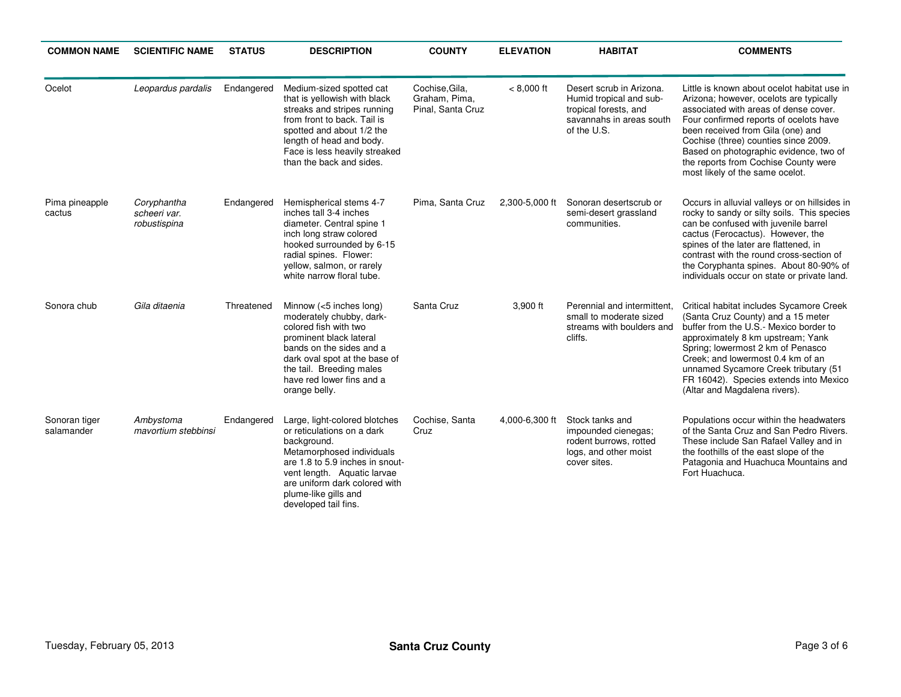| <b>COMMON NAME</b>          | <b>SCIENTIFIC NAME</b>                      | <b>STATUS</b> | <b>DESCRIPTION</b>                                                                                                                                                                                                                                         | <b>COUNTY</b>                                        | <b>ELEVATION</b> | <b>HABITAT</b>                                                                                                          | <b>COMMENTS</b>                                                                                                                                                                                                                                                                                                                                                             |
|-----------------------------|---------------------------------------------|---------------|------------------------------------------------------------------------------------------------------------------------------------------------------------------------------------------------------------------------------------------------------------|------------------------------------------------------|------------------|-------------------------------------------------------------------------------------------------------------------------|-----------------------------------------------------------------------------------------------------------------------------------------------------------------------------------------------------------------------------------------------------------------------------------------------------------------------------------------------------------------------------|
| Ocelot                      | Leopardus pardalis                          | Endangered    | Medium-sized spotted cat<br>that is yellowish with black<br>streaks and stripes running<br>from front to back. Tail is<br>spotted and about 1/2 the<br>length of head and body.<br>Face is less heavily streaked<br>than the back and sides.               | Cochise, Gila,<br>Graham, Pima,<br>Pinal, Santa Cruz | $< 8,000$ ft     | Desert scrub in Arizona.<br>Humid tropical and sub-<br>tropical forests, and<br>savannahs in areas south<br>of the U.S. | Little is known about ocelot habitat use in<br>Arizona; however, ocelots are typically<br>associated with areas of dense cover.<br>Four confirmed reports of ocelots have<br>been received from Gila (one) and<br>Cochise (three) counties since 2009.<br>Based on photographic evidence, two of<br>the reports from Cochise County were<br>most likely of the same ocelot. |
| Pima pineapple<br>cactus    | Coryphantha<br>scheeri var.<br>robustispina | Endangered    | Hemispherical stems 4-7<br>inches tall 3-4 inches<br>diameter. Central spine 1<br>inch long straw colored<br>hooked surrounded by 6-15<br>radial spines. Flower:<br>yellow, salmon, or rarely<br>white narrow floral tube.                                 | Pima, Santa Cruz                                     | 2,300-5,000 ft   | Sonoran desertscrub or<br>semi-desert grassland<br>communities.                                                         | Occurs in alluvial valleys or on hillsides in<br>rocky to sandy or silty soils. This species<br>can be confused with juvenile barrel<br>cactus (Ferocactus). However, the<br>spines of the later are flattened, in<br>contrast with the round cross-section of<br>the Coryphanta spines. About 80-90% of<br>individuals occur on state or private land.                     |
| Sonora chub                 | Gila ditaenia                               | Threatened    | Minnow (<5 inches long)<br>moderately chubby, dark-<br>colored fish with two<br>prominent black lateral<br>bands on the sides and a<br>dark oval spot at the base of<br>the tail. Breeding males<br>have red lower fins and a<br>orange belly.             | Santa Cruz                                           | 3,900 ft         | Perennial and intermittent.<br>small to moderate sized<br>streams with boulders and<br>cliffs.                          | Critical habitat includes Sycamore Creek<br>(Santa Cruz County) and a 15 meter<br>buffer from the U.S.- Mexico border to<br>approximately 8 km upstream; Yank<br>Spring; lowermost 2 km of Penasco<br>Creek; and lowermost 0.4 km of an<br>unnamed Sycamore Creek tributary (51<br>FR 16042). Species extends into Mexico<br>(Altar and Magdalena rivers).                  |
| Sonoran tiger<br>salamander | Ambystoma<br>mavortium stebbinsi            | Endangered    | Large, light-colored blotches<br>or reticulations on a dark<br>background.<br>Metamorphosed individuals<br>are 1.8 to 5.9 inches in snout-<br>vent length. Aquatic larvae<br>are uniform dark colored with<br>plume-like gills and<br>developed tail fins. | Cochise, Santa<br>Cruz                               | 4,000-6,300 ft   | Stock tanks and<br>impounded cienegas;<br>rodent burrows, rotted<br>logs, and other moist<br>cover sites.               | Populations occur within the headwaters<br>of the Santa Cruz and San Pedro Rivers.<br>These include San Rafael Valley and in<br>the foothills of the east slope of the<br>Patagonia and Huachuca Mountains and<br>Fort Huachuca.                                                                                                                                            |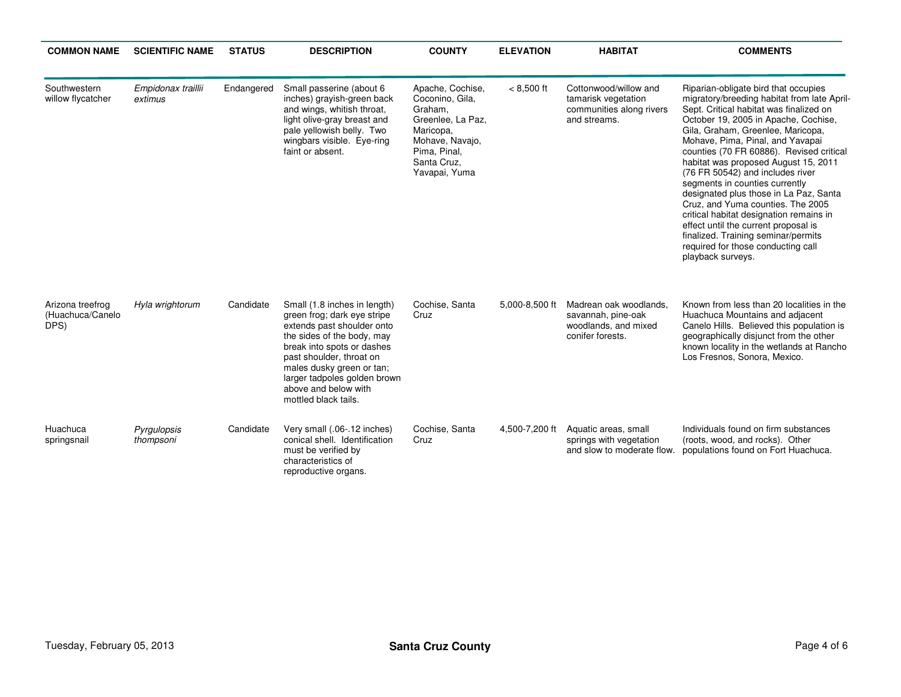| <b>COMMON NAME</b>                           | <b>SCIENTIFIC NAME</b>        | <b>STATUS</b> | <b>DESCRIPTION</b>                                                                                                                                                                                                                                                                             | <b>COUNTY</b>                                                                                                                                       | <b>ELEVATION</b> | <b>HABITAT</b>                                                                           | <b>COMMENTS</b>                                                                                                                                                                                                                                                                                                                                                                                                                                                                                                                                                                                                                                                               |
|----------------------------------------------|-------------------------------|---------------|------------------------------------------------------------------------------------------------------------------------------------------------------------------------------------------------------------------------------------------------------------------------------------------------|-----------------------------------------------------------------------------------------------------------------------------------------------------|------------------|------------------------------------------------------------------------------------------|-------------------------------------------------------------------------------------------------------------------------------------------------------------------------------------------------------------------------------------------------------------------------------------------------------------------------------------------------------------------------------------------------------------------------------------------------------------------------------------------------------------------------------------------------------------------------------------------------------------------------------------------------------------------------------|
| Southwestern<br>willow flycatcher            | Empidonax traillii<br>extimus | Endangered    | Small passerine (about 6<br>inches) grayish-green back<br>and wings, whitish throat,<br>light olive-gray breast and<br>pale yellowish belly. Two<br>wingbars visible. Eye-ring<br>faint or absent.                                                                                             | Apache, Cochise,<br>Coconino, Gila,<br>Graham,<br>Greenlee, La Paz,<br>Maricopa,<br>Mohave, Navajo,<br>Pima, Pinal,<br>Santa Cruz,<br>Yavapai, Yuma | $< 8,500$ ft     | Cottonwood/willow and<br>tamarisk vegetation<br>communities along rivers<br>and streams. | Riparian-obligate bird that occupies<br>migratory/breeding habitat from late April-<br>Sept. Critical habitat was finalized on<br>October 19, 2005 in Apache, Cochise,<br>Gila, Graham, Greenlee, Maricopa,<br>Mohave, Pima, Pinal, and Yavapai<br>counties (70 FR 60886). Revised critical<br>habitat was proposed August 15, 2011<br>(76 FR 50542) and includes river<br>segments in counties currently<br>designated plus those in La Paz, Santa<br>Cruz, and Yuma counties. The 2005<br>critical habitat designation remains in<br>effect until the current proposal is<br>finalized. Training seminar/permits<br>required for those conducting call<br>playback surveys. |
| Arizona treefrog<br>(Huachuca/Canelo<br>DPS) | Hyla wrightorum               | Candidate     | Small (1.8 inches in length)<br>green frog; dark eye stripe<br>extends past shoulder onto<br>the sides of the body, may<br>break into spots or dashes<br>past shoulder, throat on<br>males dusky green or tan;<br>larger tadpoles golden brown<br>above and below with<br>mottled black tails. | Cochise, Santa<br>Cruz                                                                                                                              | 5,000-8,500 ft   | Madrean oak woodlands.<br>savannah, pine-oak<br>woodlands, and mixed<br>conifer forests. | Known from less than 20 localities in the<br>Huachuca Mountains and adjacent<br>Canelo Hills. Believed this population is<br>geographically disjunct from the other<br>known locality in the wetlands at Rancho<br>Los Fresnos, Sonora, Mexico.                                                                                                                                                                                                                                                                                                                                                                                                                               |
| Huachuca<br>springsnail                      | Pyrgulopsis<br>thompsoni      | Candidate     | Very small (.06-.12 inches)<br>conical shell. Identification<br>must be verified by<br>characteristics of<br>reproductive organs.                                                                                                                                                              | Cochise, Santa<br>Cruz                                                                                                                              | 4,500-7,200 ft   | Aquatic areas, small<br>springs with vegetation<br>and slow to moderate flow.            | Individuals found on firm substances<br>(roots, wood, and rocks). Other<br>populations found on Fort Huachuca.                                                                                                                                                                                                                                                                                                                                                                                                                                                                                                                                                                |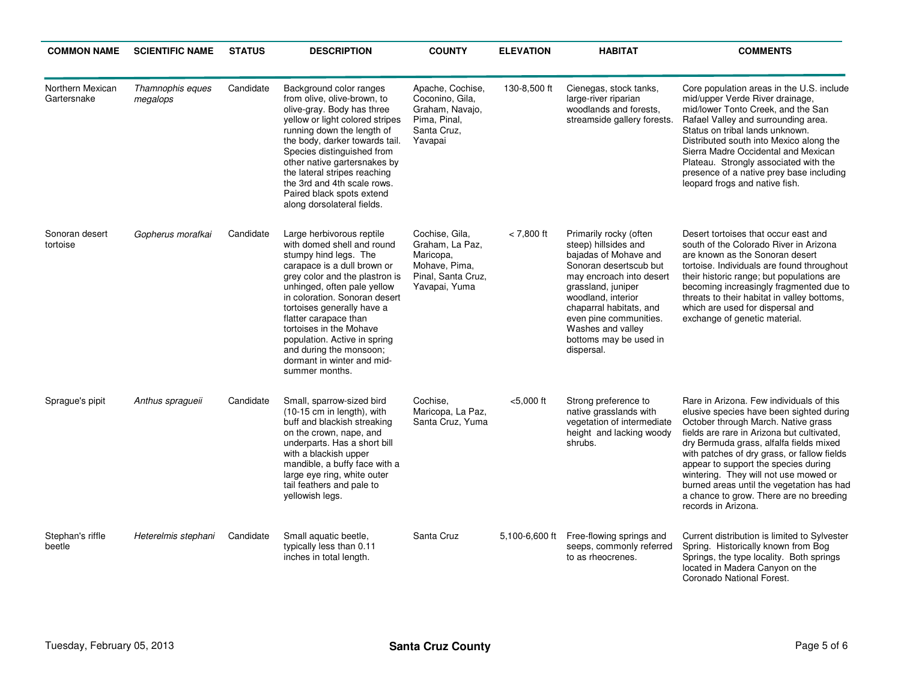| <b>COMMON NAME</b>              | <b>SCIENTIFIC NAME</b>       | <b>STATUS</b> | <b>DESCRIPTION</b>                                                                                                                                                                                                                                                                                                                                                                                             | <b>COUNTY</b>                                                                                          | <b>ELEVATION</b> | <b>HABITAT</b>                                                                                                                                                                                                                                                                              | <b>COMMENTS</b>                                                                                                                                                                                                                                                                                                                                                                                                                                                     |
|---------------------------------|------------------------------|---------------|----------------------------------------------------------------------------------------------------------------------------------------------------------------------------------------------------------------------------------------------------------------------------------------------------------------------------------------------------------------------------------------------------------------|--------------------------------------------------------------------------------------------------------|------------------|---------------------------------------------------------------------------------------------------------------------------------------------------------------------------------------------------------------------------------------------------------------------------------------------|---------------------------------------------------------------------------------------------------------------------------------------------------------------------------------------------------------------------------------------------------------------------------------------------------------------------------------------------------------------------------------------------------------------------------------------------------------------------|
| Northern Mexican<br>Gartersnake | Thamnophis eques<br>megalops | Candidate     | Background color ranges<br>from olive, olive-brown, to<br>olive-gray. Body has three<br>yellow or light colored stripes<br>running down the length of<br>the body, darker towards tail.<br>Species distinguished from<br>other native gartersnakes by<br>the lateral stripes reaching<br>the 3rd and 4th scale rows.<br>Paired black spots extend<br>along dorsolateral fields.                                | Apache, Cochise,<br>Coconino, Gila,<br>Graham, Navajo,<br>Pima, Pinal,<br>Santa Cruz.<br>Yavapai       | 130-8,500 ft     | Cienegas, stock tanks,<br>large-river riparian<br>woodlands and forests.<br>streamside gallery forests.                                                                                                                                                                                     | Core population areas in the U.S. include<br>mid/upper Verde River drainage,<br>mid/lower Tonto Creek, and the San<br>Rafael Valley and surrounding area.<br>Status on tribal lands unknown.<br>Distributed south into Mexico along the<br>Sierra Madre Occidental and Mexican<br>Plateau. Strongly associated with the<br>presence of a native prey base including<br>leopard frogs and native fish.                                                               |
| Sonoran desert<br>tortoise      | Gopherus morafkai            | Candidate     | Large herbivorous reptile<br>with domed shell and round<br>stumpy hind legs. The<br>carapace is a dull brown or<br>grey color and the plastron is<br>unhinged, often pale yellow<br>in coloration. Sonoran desert<br>tortoises generally have a<br>flatter carapace than<br>tortoises in the Mohave<br>population. Active in spring<br>and during the monsoon;<br>dormant in winter and mid-<br>summer months. | Cochise, Gila.<br>Graham, La Paz,<br>Maricopa,<br>Mohave, Pima,<br>Pinal, Santa Cruz,<br>Yavapai, Yuma | $< 7.800$ ft     | Primarily rocky (often<br>steep) hillsides and<br>bajadas of Mohave and<br>Sonoran desertscub but<br>may encroach into desert<br>grassland, juniper<br>woodland, interior<br>chaparral habitats, and<br>even pine communities.<br>Washes and valley<br>bottoms may be used in<br>dispersal. | Desert tortoises that occur east and<br>south of the Colorado River in Arizona<br>are known as the Sonoran desert<br>tortoise. Individuals are found throughout<br>their historic range; but populations are<br>becoming increasingly fragmented due to<br>threats to their habitat in valley bottoms,<br>which are used for dispersal and<br>exchange of genetic material.                                                                                         |
| Sprague's pipit                 | Anthus spragueii             | Candidate     | Small, sparrow-sized bird<br>(10-15 cm in length), with<br>buff and blackish streaking<br>on the crown, nape, and<br>underparts. Has a short bill<br>with a blackish upper<br>mandible, a buffy face with a<br>large eye ring, white outer<br>tail feathers and pale to<br>yellowish legs.                                                                                                                     | Cochise.<br>Maricopa, La Paz,<br>Santa Cruz, Yuma                                                      | $<$ 5,000 ft     | Strong preference to<br>native grasslands with<br>vegetation of intermediate<br>height and lacking woody<br>shrubs.                                                                                                                                                                         | Rare in Arizona. Few individuals of this<br>elusive species have been sighted during<br>October through March. Native grass<br>fields are rare in Arizona but cultivated.<br>dry Bermuda grass, alfalfa fields mixed<br>with patches of dry grass, or fallow fields<br>appear to support the species during<br>wintering. They will not use mowed or<br>burned areas until the vegetation has had<br>a chance to grow. There are no breeding<br>records in Arizona. |
| Stephan's riffle<br>beetle      | Heterelmis stephani          | Candidate     | Small aquatic beetle,<br>typically less than 0.11<br>inches in total length.                                                                                                                                                                                                                                                                                                                                   | Santa Cruz                                                                                             | 5,100-6,600 ft   | Free-flowing springs and<br>seeps, commonly referred<br>to as rheocrenes.                                                                                                                                                                                                                   | Current distribution is limited to Sylvester<br>Spring. Historically known from Bog<br>Springs, the type locality. Both springs<br>located in Madera Canyon on the<br>Coronado National Forest.                                                                                                                                                                                                                                                                     |